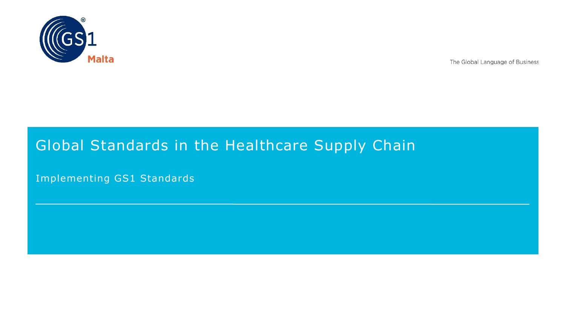

The Global Language of Business

#### Global Standards in the Healthcare Supply Chain

Implementing GS1 Standards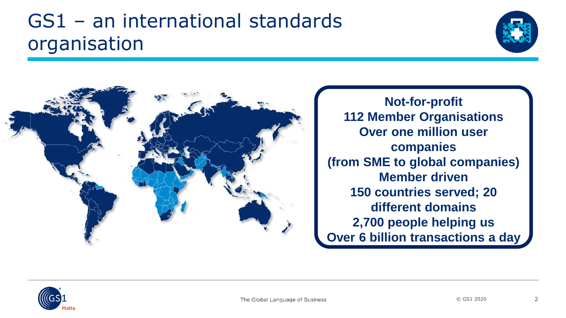#### GS1 – an international standards organisation





**Not-for-profit 112 Member Organisations Over one million user companies (from SME to global companies) Member driven 150 countries served; 20 different domains 2,700 people helping us Over 6 billion transactions a day**

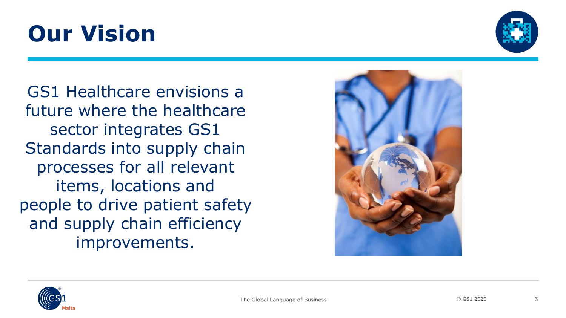# processes for all relevant items, locations and people to drive patient safety and supply chain efficiency improvements.

#### The Global Language of Business

# **Our Vision**



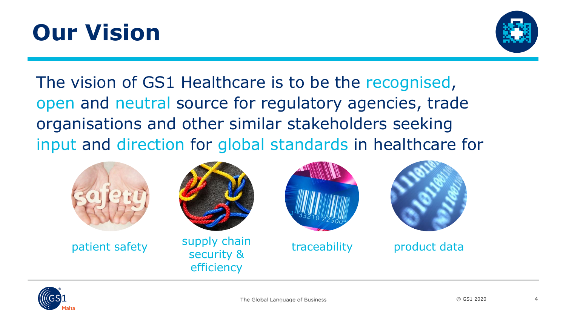# **Our Vision**



The vision of GS1 Healthcare is to be the recognised, open and neutral source for regulatory agencies, trade organisations and other similar stakeholders seeking input and direction for global standards in healthcare for



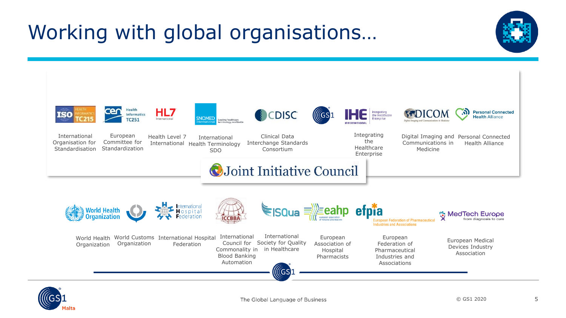## Working with global organisations…



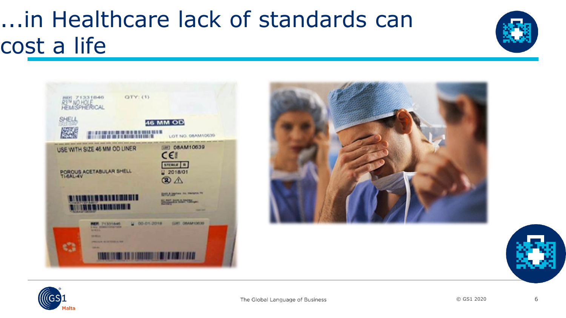# ... in Healthcare lack of standards can cost a life









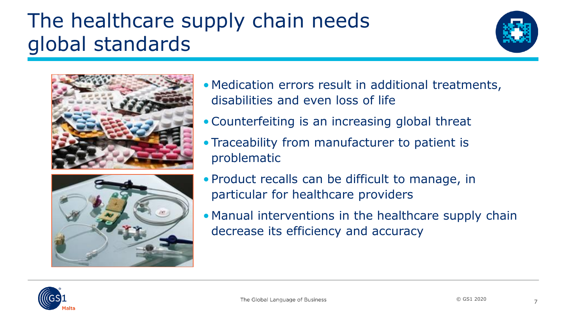## The healthcare supply chain needs global standards







- Medication errors result in additional treatments, disabilities and even loss of life
- •Counterfeiting is an increasing global threat
- Traceability from manufacturer to patient is problematic
- Product recalls can be difficult to manage, in particular for healthcare providers
- Manual interventions in the healthcare supply chain decrease its efficiency and accuracy

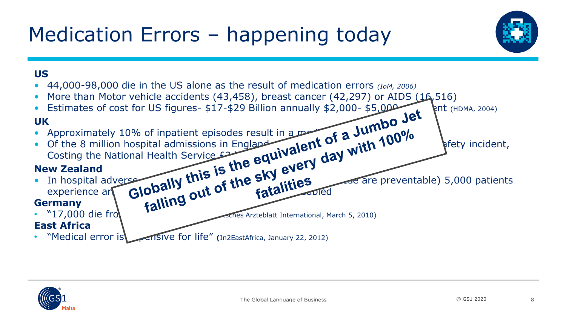# Medication Errors – happening today



#### **US**

- 44,000-98,000 die in the US alone as the result of medication errors *(IoM, 2006)*
- More than Motor vehicle accidents (43,458), breast cancer (42,297) or AIDS (16,516)
- Estimates of cost for US figures- \$17-\$29 Billion annually \$2,000- \$5,000 per event (HDMA, 2004)

#### **UK**

- Approximately 10% of inpatient episodes result in a manufacturer on  $\mathbf{Q}$
- Of the 8 million hospital admissions in England, algnt  $\mathbf{P}^{\bullet}$ , ith  $\mathbf{P}^{\bullet}$  fety incident, Costing the National Health Service experience and this is the equivalent of a Junior 100%<br>
every day with 100%<br>
"17,000 die from the fatalities" (Deutsches Arzteblatt International, March 5, 2010)

#### **New Zealand**

• In hospital adverse ally  $\mathbf{f}^{\text{min}}$  at  $\mathbf{f}^{\text{min}}$  at  $\mathbf{f}^{\text{min}}$  and  $\mathbf{f}^{\text{min}}$  and  $\mathbf{f}^{\text{min}}$  and  $\mathbf{f}^{\text{min}}$  are preventable) 5,000 patients experience an  $G[0]$ <sup>die,  $J$ ut  $O$ <sup>r</sup> fatally couled</sup>

#### **Germany**

**East Africa**

- 
- "Medical error is **expensive for life"** *(In2EastAfrica, January 22, 2012)*

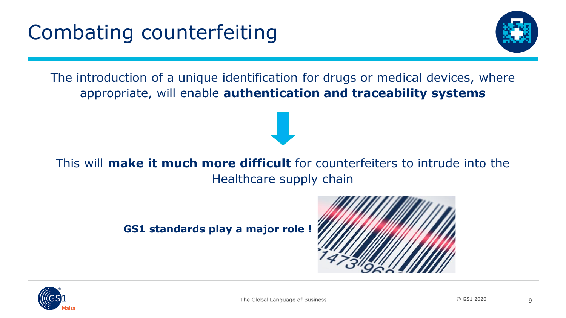#### Combating counterfeiting



The introduction of a unique identification for drugs or medical devices, where appropriate, will enable **authentication and traceability systems**

#### This will **make it much more difficult** for counterfeiters to intrude into the Healthcare supply chain

**GS1 standards play a major role !**



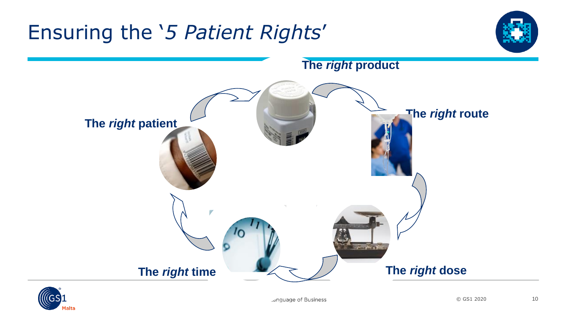## Ensuring the '*5 Patient Rights*'





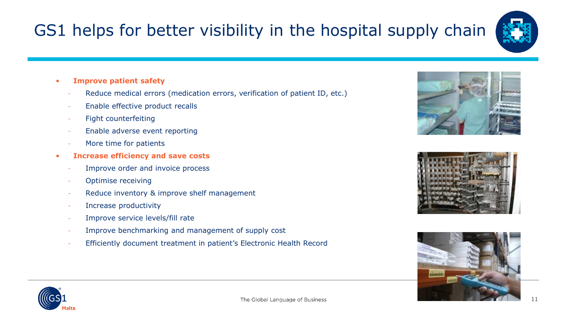



#### GS1 helps for better visibility in the hospital supply chain



- Reduce medical errors (medication errors, verification of patient ID, etc.)
- Enable effective product recalls
- Fight counterfeiting
- Enable adverse event reporting
- More time for patients
- **Increase efficiency and save costs**
	- Improve order and invoice process
	- Optimise receiving
	- Reduce inventory & improve shelf management
	- Increase productivity
	- Improve service levels/fill rate
	- Improve benchmarking and management of supply cost
	- Efficiently document treatment in patient's Electronic Health Record







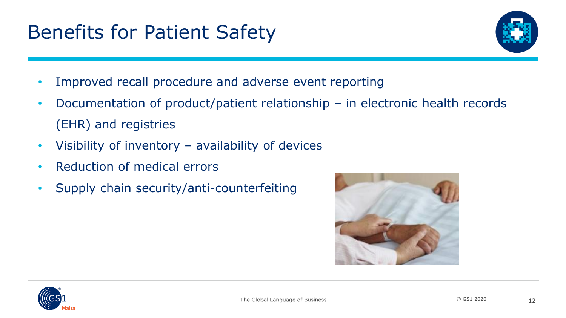#### Benefits for Patient Safety

- Improved recall procedure and adverse event reporting
- Documentation of product/patient relationship in electronic health records (EHR) and registries
- Visibility of inventory  $-$  availability of devices
- Reduction of medical errors
- Supply chain security/anti-counterfeiting





12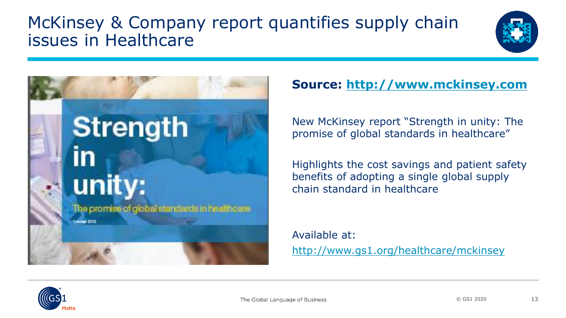#### McKinsey & Company report quantifies supply chain issues in Healthcare





#### **Source: [http://www.mckinsey.com](http://www.mckinsey.com/)**

New McKinsey report "Strength in unity: The promise of global standards in healthcare"

Highlights the cost savings and patient safety benefits of adopting a single global supply chain standard in healthcare

Available at: <http://www.gs1.org/healthcare/mckinsey>

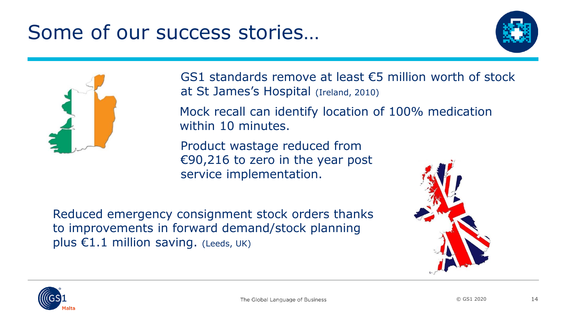#### Some of our success stories…





GS1 standards remove at least €5 million worth of stock at St James's Hospital (Ireland, 2010)

Mock recall can identify location of 100% medication within 10 minutes.

Product wastage reduced from €90,216 to zero in the year post service implementation.

Reduced emergency consignment stock orders thanks to improvements in forward demand/stock planning plus €1.1 million saving. (Leeds, UK)



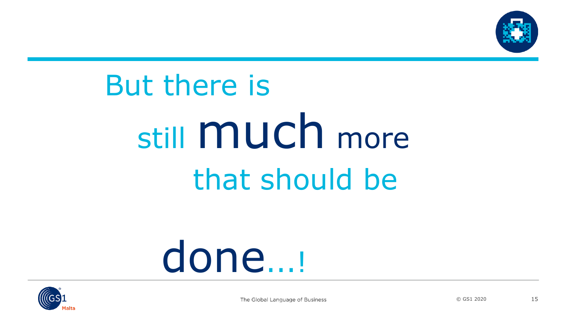

# But there is still **MUCh** more that should be

# done...!

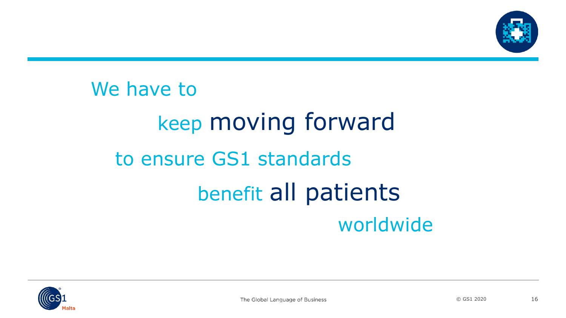

# We have to keep moving forward to ensure GS1 standards benefit all patients worldwide

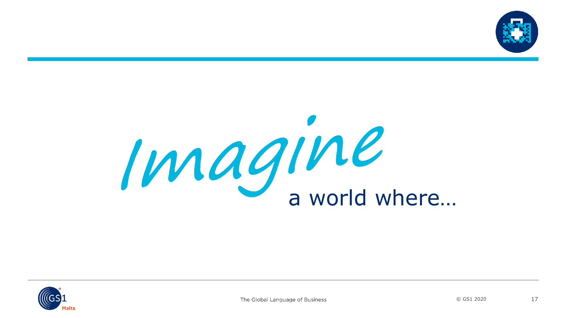

# Imagine



17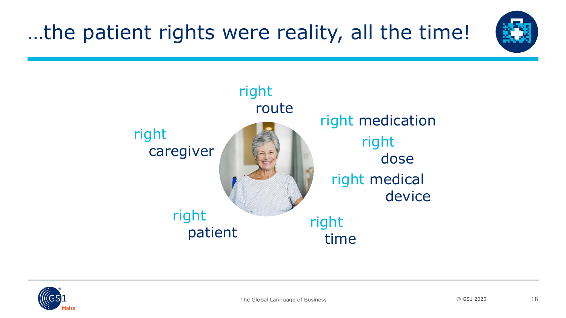



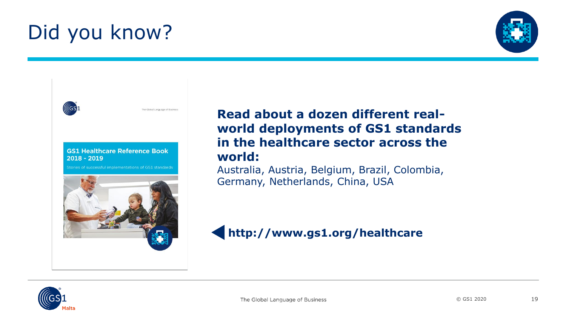# Did you know?





#### **Read about a dozen different realworld deployments of GS1 standards in the healthcare sector across the world:**

Australia, Austria, Belgium, Brazil, Colombia, Germany, Netherlands, China, USA



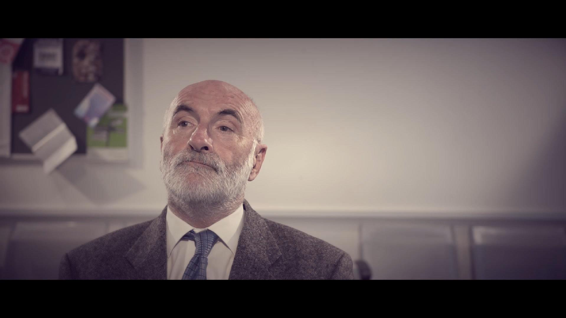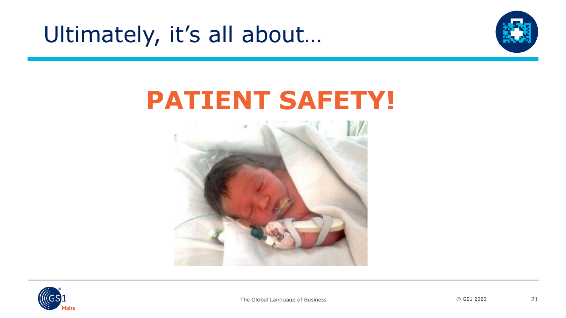# Ultimately, it's all about...



# **PATIENT SAFETY!**





21